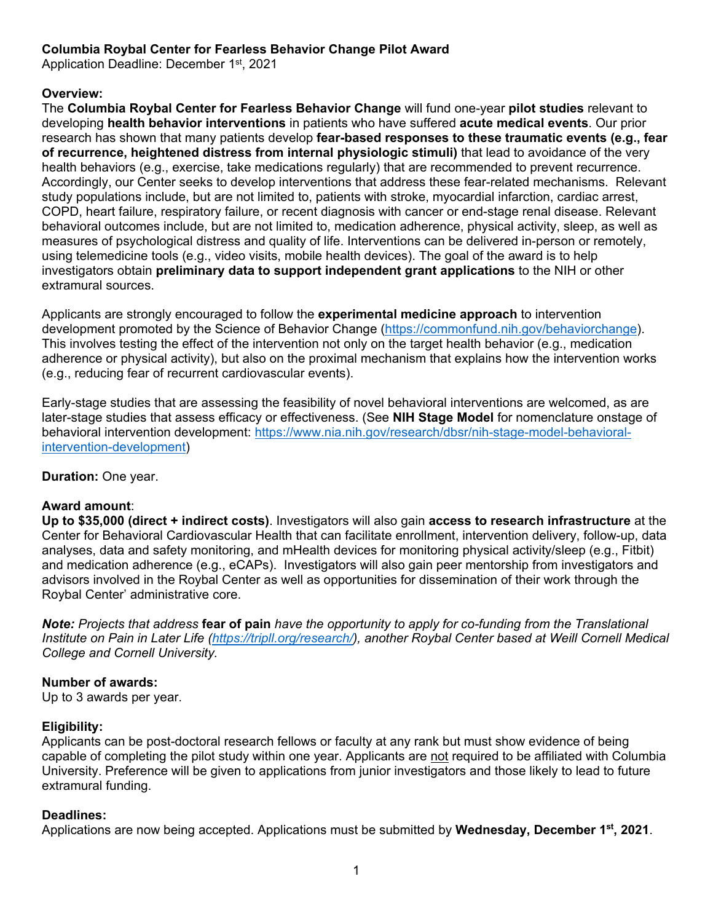# **Columbia Roybal Center for Fearless Behavior Change Pilot Award**

Application Deadline: December 1<sup>st</sup>, 2021

# **Overview:**

The **Columbia Roybal Center for Fearless Behavior Change** will fund one-year **pilot studies** relevant to developing **health behavior interventions** in patients who have suffered **acute medical events**. Our prior research has shown that many patients develop **fear-based responses to these traumatic events (e.g., fear of recurrence, heightened distress from internal physiologic stimuli)** that lead to avoidance of the very health behaviors (e.g., exercise, take medications regularly) that are recommended to prevent recurrence. Accordingly, our Center seeks to develop interventions that address these fear-related mechanisms. Relevant study populations include, but are not limited to, patients with stroke, myocardial infarction, cardiac arrest, COPD, heart failure, respiratory failure, or recent diagnosis with cancer or end-stage renal disease. Relevant behavioral outcomes include, but are not limited to, medication adherence, physical activity, sleep, as well as measures of psychological distress and quality of life. Interventions can be delivered in-person or remotely, using telemedicine tools (e.g., video visits, mobile health devices). The goal of the award is to help investigators obtain **preliminary data to support independent grant applications** to the NIH or other extramural sources.

Applicants are strongly encouraged to follow the **experimental medicine approach** to intervention development promoted by the Science of Behavior Change [\(https://commonfund.nih.gov/behaviorchange\)](https://commonfund.nih.gov/behaviorchange). This involves testing the effect of the intervention not only on the target health behavior (e.g., medication adherence or physical activity), but also on the proximal mechanism that explains how the intervention works (e.g., reducing fear of recurrent cardiovascular events).

Early-stage studies that are assessing the feasibility of novel behavioral interventions are welcomed, as are later-stage studies that assess efficacy or effectiveness. (See **NIH Stage Model** for nomenclature onstage of behavioral intervention development: [https://www.nia.nih.gov/research/dbsr/nih-stage-model-behavioral](https://www.nia.nih.gov/research/dbsr/nih-stage-model-behavioral-intervention-development)[intervention-development\)](https://www.nia.nih.gov/research/dbsr/nih-stage-model-behavioral-intervention-development)

**Duration:** One year.

### **Award amount**:

**Up to \$35,000 (direct + indirect costs)**. Investigators will also gain **access to research infrastructure** at the Center for Behavioral Cardiovascular Health that can facilitate enrollment, intervention delivery, follow-up, data analyses, data and safety monitoring, and mHealth devices for monitoring physical activity/sleep (e.g., Fitbit) and medication adherence (e.g., eCAPs). Investigators will also gain peer mentorship from investigators and advisors involved in the Roybal Center as well as opportunities for dissemination of their work through the Roybal Center' administrative core.

*Note: Projects that address* **fear of pain** *have the opportunity to apply for co-funding from the Translational Institute on Pain in Later Life [\(https://tripll.org/research/\)](https://tripll.org/research/), another Roybal Center based at Weill Cornell Medical College and Cornell University.* 

### **Number of awards:**

Up to 3 awards per year.

### **Eligibility:**

Applicants can be post-doctoral research fellows or faculty at any rank but must show evidence of being capable of completing the pilot study within one year. Applicants are not required to be affiliated with Columbia University. Preference will be given to applications from junior investigators and those likely to lead to future extramural funding.

### **Deadlines:**

Applications are now being accepted. Applications must be submitted by **Wednesday, December 1st, 2021**.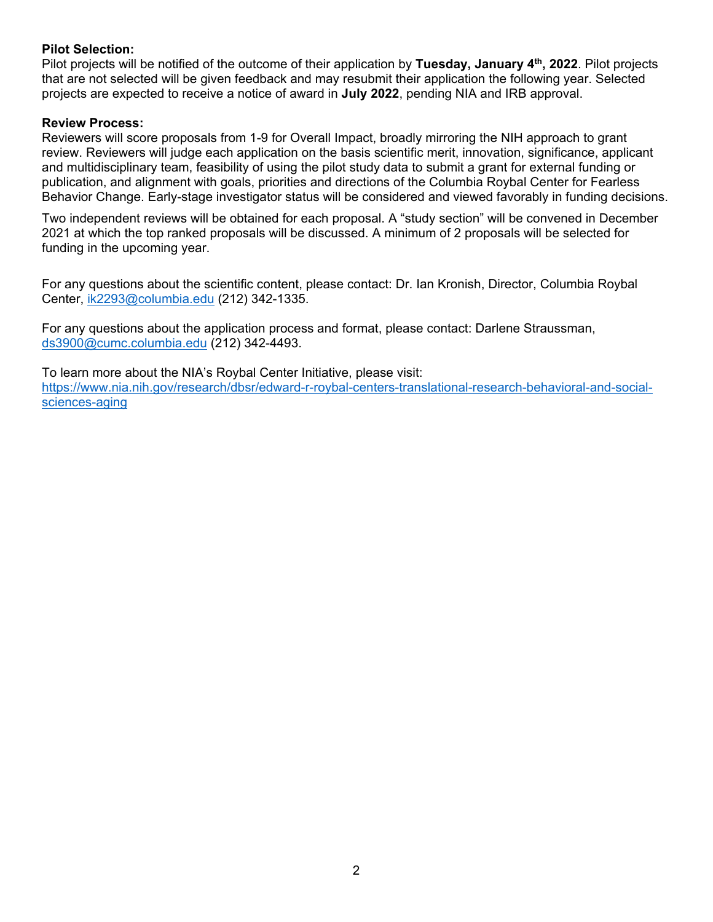#### **Pilot Selection:**

Pilot projects will be notified of the outcome of their application by **Tuesday, January 4th, 2022**. Pilot projects that are not selected will be given feedback and may resubmit their application the following year. Selected projects are expected to receive a notice of award in **July 2022**, pending NIA and IRB approval.

#### **Review Process:**

Reviewers will score proposals from 1-9 for Overall Impact, broadly mirroring the NIH approach to grant review. Reviewers will judge each application on the basis scientific merit, innovation, significance, applicant and multidisciplinary team, feasibility of using the pilot study data to submit a grant for external funding or publication, and alignment with goals, priorities and directions of the Columbia Roybal Center for Fearless Behavior Change. Early-stage investigator status will be considered and viewed favorably in funding decisions.

Two independent reviews will be obtained for each proposal. A "study section" will be convened in December 2021 at which the top ranked proposals will be discussed. A minimum of 2 proposals will be selected for funding in the upcoming year.

For any questions about the scientific content, please contact: Dr. Ian Kronish, Director, Columbia Roybal Center, [ik2293@columbia.edu](mailto:ik2293@columbia.edu) (212) 342-1335.

For any questions about the application process and format, please contact: Darlene Straussman, [ds3900@cumc.columbia.edu](mailto:ds3900@cumc.columbia.edu) (212) 342-4493.

To learn more about the NIA's Roybal Center Initiative, please visit: [https://www.nia.nih.gov/research/dbsr/edward-r-roybal-centers-translational-research-behavioral-and-social](https://www.nia.nih.gov/research/dbsr/edward-r-roybal-centers-translational-research-behavioral-and-social-sciences-aging)[sciences-aging](https://www.nia.nih.gov/research/dbsr/edward-r-roybal-centers-translational-research-behavioral-and-social-sciences-aging)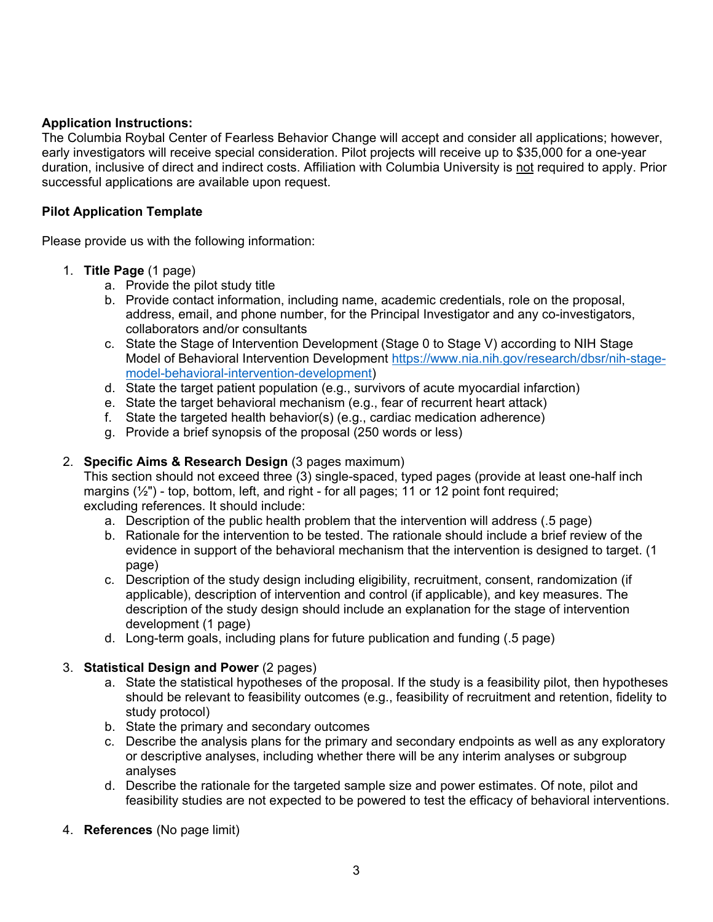## **Application Instructions:**

The Columbia Roybal Center of Fearless Behavior Change will accept and consider all applications; however, early investigators will receive special consideration. Pilot projects will receive up to \$35,000 for a one-year duration, inclusive of direct and indirect costs. Affiliation with Columbia University is not required to apply. Prior successful applications are available upon request.

# **Pilot Application Template**

Please provide us with the following information:

- 1. **Title Page** (1 page)
	- a. Provide the pilot study title
	- b. Provide contact information, including name, academic credentials, role on the proposal, address, email, and phone number, for the Principal Investigator and any co-investigators, collaborators and/or consultants
	- c. State the Stage of Intervention Development (Stage 0 to Stage V) according to NIH Stage Model of Behavioral Intervention Development [https://www.nia.nih.gov/research/dbsr/nih-stage](https://www.nia.nih.gov/research/dbsr/nih-stage-model-behavioral-intervention-development)[model-behavioral-intervention-development\)](https://www.nia.nih.gov/research/dbsr/nih-stage-model-behavioral-intervention-development)
	- d. State the target patient population (e.g., survivors of acute myocardial infarction)
	- e. State the target behavioral mechanism (e.g., fear of recurrent heart attack)
	- f. State the targeted health behavior(s) (e.g., cardiac medication adherence)
	- g. Provide a brief synopsis of the proposal (250 words or less)

## 2. **Specific Aims & Research Design** (3 pages maximum)

This section should not exceed three (3) single-spaced, typed pages (provide at least one-half inch margins ( $\frac{1}{2}$ ") - top, bottom, left, and right - for all pages; 11 or 12 point font required; excluding references. It should include:

- a. Description of the public health problem that the intervention will address (.5 page)
- b. Rationale for the intervention to be tested. The rationale should include a brief review of the evidence in support of the behavioral mechanism that the intervention is designed to target. (1 page)
- c. Description of the study design including eligibility, recruitment, consent, randomization (if applicable), description of intervention and control (if applicable), and key measures. The description of the study design should include an explanation for the stage of intervention development (1 page)
- d. Long-term goals, including plans for future publication and funding (.5 page)

# 3. **Statistical Design and Power** (2 pages)

- a. State the statistical hypotheses of the proposal. If the study is a feasibility pilot, then hypotheses should be relevant to feasibility outcomes (e.g., feasibility of recruitment and retention, fidelity to study protocol)
- b. State the primary and secondary outcomes
- c. Describe the analysis plans for the primary and secondary endpoints as well as any exploratory or descriptive analyses, including whether there will be any interim analyses or subgroup analyses
- d. Describe the rationale for the targeted sample size and power estimates. Of note, pilot and feasibility studies are not expected to be powered to test the efficacy of behavioral interventions.
- 4. **References** (No page limit)